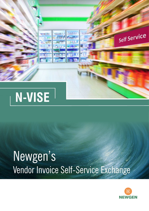

# Newgen's Vendor Invoice Self-Service Exchange

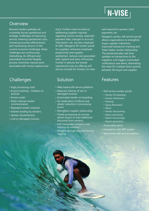### **Overview**

Business leaders globally are constantly facing operational and strategic challenges of improving service, lowering operational costs, increasing business effectiveness and maximizing returns. In the current economic landscape, these challenges are continuously intensifying. An efficient and automated Accounts Payable process minimizes manual work associated with invoice capture and

## Challenges

- High processing costs
- Invoice tracking initiation to archival
- Invoice audit
- Multi-channel vendor communication
- Repeated vendor enquires
- Interest loading by vendors
- Vendor dissatisfaction
- Lost or damaged invoices

entry. Further costs incurred on addressing supplier inquiries regarding invoice receipt, expected payment date, changes to account information, etc. are also impacted. N-VISE, Newgen's AP vendor portal for suppliers, enhances employee productivity and supplier satisfaction, reduces cost associated with capture and entry of Invoices. Further it reduces the overall operational costs by offering self service console for vendors, to raise

### Solution **Features**

- Web-based self-service platform
- Reduced chances of lost or damaged invoices
- Automated vendor on boarding
- No duplication of efforts and drastic reduction in processing errors
- Strengthen supplier relationship
- Timely processing of invoices allows buyers to avail additional discounts from vendors
- Self-transaction initiation and tracking by vendors
- Straight-through physical invoice tagging

and respond to queries, track payments, etc.

Newgen's vendor self-service portal allows organizations to strengthen buyer-supplier interaction, improved transaction tracking and foster better vendor relationship. The portal provides real-time updates on transactions to the suppliers, and triggers automated notifications and alerts, eliminating the need for multiple direct queries between the buyer and supplier.

- Self service vendor portal
	- Vendor On boarding
	- Invoice Submission
	- Tracking
	- Ouery Resolution
	- Alerts
	- Vendor discounting
	- Ouery submission
	- Search functionality
	- Report generation
- Automated alerts
- Integration with ERP system
- 

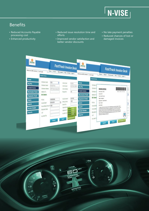

# Benefits

- Reduced Accounts Payable processing cost
- Enhanced productivity
- Reduced issue resolution time and efforts
- Improved vendor satisfaction and better vendor discounts
- No late payment penalties
- Reduced chances of lost or damaged invoices



 $35<sup>1</sup>$ 

NAVIGATION

 $\mathbf{D}^{Z \text{I} \text{I}}$ 

圜